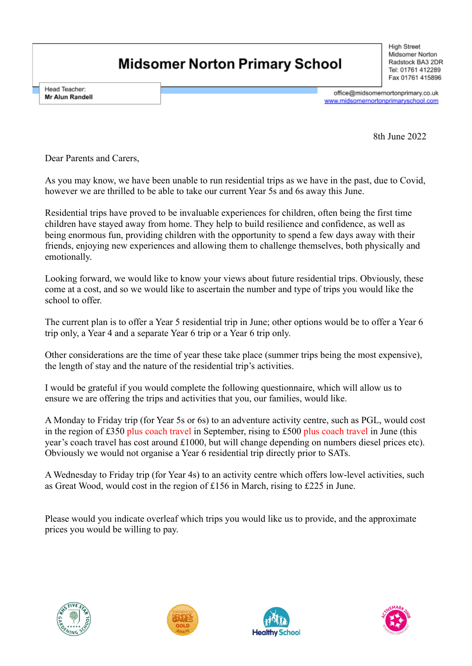## **Midsomer Norton Primary School**

**High Street** Midsomer Norton Radstock BA3 2DR Tel: 01761 412289 Fax 01761 415896

Head Teacher: Mr Alun Randell

office@midsomernortonprimary.co.uk www.midsomernortonprimaryschool.com

8th June 2022

Dear Parents and Carers,

As you may know, we have been unable to run residential trips as we have in the past, due to Covid, however we are thrilled to be able to take our current Year 5s and 6s away this June.

Residential trips have proved to be invaluable experiences for children, often being the first time children have stayed away from home. They help to build resilience and confidence, as well as being enormous fun, providing children with the opportunity to spend a few days away with their friends, enjoying new experiences and allowing them to challenge themselves, both physically and emotionally.

Looking forward, we would like to know your views about future residential trips. Obviously, these come at a cost, and so we would like to ascertain the number and type of trips you would like the school to offer.

The current plan is to offer a Year 5 residential trip in June; other options would be to offer a Year 6 trip only, a Year 4 and a separate Year 6 trip or a Year 6 trip only.

Other considerations are the time of year these take place (summer trips being the most expensive), the length of stay and the nature of the residential trip's activities.

I would be grateful if you would complete the following questionnaire, which will allow us to ensure we are offering the trips and activities that you, our families, would like.

A Monday to Friday trip (for Year 5s or 6s) to an adventure activity centre, such as PGL, would cost in the region of £350 plus coach travel in September, rising to £500 plus coach travel in June (this year's coach travel has cost around £1000, but will change depending on numbers diesel prices etc). Obviously we would not organise a Year 6 residential trip directly prior to SATs.

A Wednesday to Friday trip (for Year 4s) to an activity centre which offers low-level activities, such as Great Wood, would cost in the region of £156 in March, rising to £225 in June.

Please would you indicate overleaf which trips you would like us to provide, and the approximate prices you would be willing to pay.